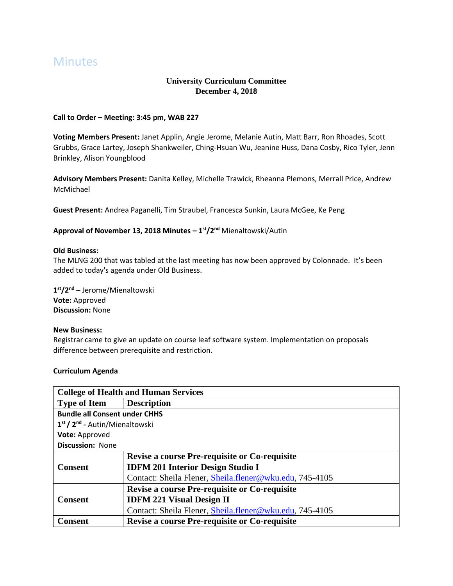# Minutes

## **University Curriculum Committee December 4, 2018**

#### **Call to Order – Meeting: 3:45 pm, WAB 227**

**Voting Members Present:** Janet Applin, Angie Jerome, Melanie Autin, Matt Barr, Ron Rhoades, Scott Grubbs, Grace Lartey, Joseph Shankweiler, Ching-Hsuan Wu, Jeanine Huss, Dana Cosby, Rico Tyler, Jenn Brinkley, Alison Youngblood

**Advisory Members Present:** Danita Kelley, Michelle Trawick, Rheanna Plemons, Merrall Price, Andrew McMichael

**Guest Present:** Andrea Paganelli, Tim Straubel, Francesca Sunkin, Laura McGee, Ke Peng

#### **Approval of November 13, 2018 Minutes – 1 st/2nd** Mienaltowski/Autin

#### **Old Business:**

The MLNG 200 that was tabled at the last meeting has now been approved by Colonnade. It's been added to today's agenda under Old Business.

**1 st/2 nd** – Jerome/Mienaltowski **Vote:** Approved **Discussion:** None

#### **New Business:**

Registrar came to give an update on course leaf software system. Implementation on proposals difference between prerequisite and restriction.

#### **Curriculum Agenda**

| <b>College of Health and Human Services</b> |                                                         |  |
|---------------------------------------------|---------------------------------------------------------|--|
| <b>Type of Item</b>                         | <b>Description</b>                                      |  |
| <b>Bundle all Consent under CHHS</b>        |                                                         |  |
| 1st / 2 <sup>nd</sup> - Autin/Mienaltowski  |                                                         |  |
| Vote: Approved                              |                                                         |  |
| <b>Discussion: None</b>                     |                                                         |  |
| <b>Consent</b>                              | <b>Revise a course Pre-requisite or Co-requisite</b>    |  |
|                                             | <b>IDFM 201 Interior Design Studio I</b>                |  |
|                                             | Contact: Sheila Flener, Sheila.flener@wku.edu, 745-4105 |  |
|                                             | <b>Revise a course Pre-requisite or Co-requisite</b>    |  |
| <b>Consent</b>                              | <b>IDFM 221 Visual Design II</b>                        |  |
|                                             | Contact: Sheila Flener, Sheila.flener@wku.edu, 745-4105 |  |
| Consent                                     | Revise a course Pre-requisite or Co-requisite           |  |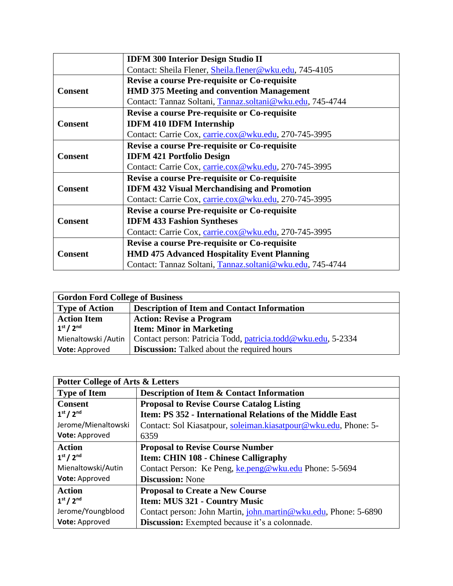|                | <b>IDFM 300 Interior Design Studio II</b>                 |
|----------------|-----------------------------------------------------------|
|                | Contact: Sheila Flener, Sheila.flener@wku.edu, 745-4105   |
|                | <b>Revise a course Pre-requisite or Co-requisite</b>      |
| <b>Consent</b> | <b>HMD 375 Meeting and convention Management</b>          |
|                | Contact: Tannaz Soltani, Tannaz.soltani@wku.edu, 745-4744 |
|                | Revise a course Pre-requisite or Co-requisite             |
| <b>Consent</b> | <b>IDFM 410 IDFM Internship</b>                           |
|                | Contact: Carrie Cox, carrie.cox@wku.edu, 270-745-3995     |
|                | <b>Revise a course Pre-requisite or Co-requisite</b>      |
| <b>Consent</b> | <b>IDFM 421 Portfolio Design</b>                          |
|                | Contact: Carrie Cox, carrie.cox@wku.edu, 270-745-3995     |
|                | <b>Revise a course Pre-requisite or Co-requisite</b>      |
| <b>Consent</b> | <b>IDFM 432 Visual Merchandising and Promotion</b>        |
|                | Contact: Carrie Cox, carrie.cox@wku.edu, 270-745-3995     |
|                | <b>Revise a course Pre-requisite or Co-requisite</b>      |
| <b>Consent</b> | <b>IDFM 433 Fashion Syntheses</b>                         |
|                | Contact: Carrie Cox, carrie.cox@wku.edu, 270-745-3995     |
|                | Revise a course Pre-requisite or Co-requisite             |
| <b>Consent</b> | <b>HMD 475 Advanced Hospitality Event Planning</b>        |
|                | Contact: Tannaz Soltani, Tannaz.soltani@wku.edu, 745-4744 |

| <b>Gordon Ford College of Business</b> |                                                              |  |
|----------------------------------------|--------------------------------------------------------------|--|
| <b>Type of Action</b>                  | <b>Description of Item and Contact Information</b>           |  |
| <b>Action Item</b>                     | <b>Action: Revise a Program</b>                              |  |
| 1 <sup>st</sup> /2 <sup>nd</sup>       | <b>Item: Minor in Marketing</b>                              |  |
| Mienaltowski /Autin                    | Contact person: Patricia Todd, patricia.todd@wku.edu, 5-2334 |  |
| Vote: Approved                         | <b>Discussion:</b> Talked about the required hours           |  |

| <b>Potter College of Arts &amp; Letters</b> |                                                                 |  |
|---------------------------------------------|-----------------------------------------------------------------|--|
| <b>Type of Item</b>                         | <b>Description of Item &amp; Contact Information</b>            |  |
| <b>Consent</b>                              | <b>Proposal to Revise Course Catalog Listing</b>                |  |
| 1 <sup>st</sup> / 2 <sup>nd</sup>           | Item: PS 352 - International Relations of the Middle East       |  |
| Jerome/Mienaltowski                         | Contact: Sol Kiasatpour, soleiman.kiasatpour@wku.edu, Phone: 5- |  |
| Vote: Approved                              | 6359                                                            |  |
| <b>Action</b>                               | <b>Proposal to Revise Course Number</b>                         |  |
| 1 <sup>st</sup> / 2 <sup>nd</sup>           | Item: CHIN 108 - Chinese Calligraphy                            |  |
| Mienaltowski/Autin                          | Contact Person: Ke Peng, ke.peng@wku.edu Phone: 5-5694          |  |
| Vote: Approved                              | <b>Discussion:</b> None                                         |  |
| <b>Action</b>                               | <b>Proposal to Create a New Course</b>                          |  |
| 1 <sup>st</sup> / 2 <sup>nd</sup>           | <b>Item: MUS 321 - Country Music</b>                            |  |
| Jerome/Youngblood                           | Contact person: John Martin, john.martin@wku.edu, Phone: 5-6890 |  |
| Vote: Approved                              | Discussion: Exempted because it's a colonnade.                  |  |